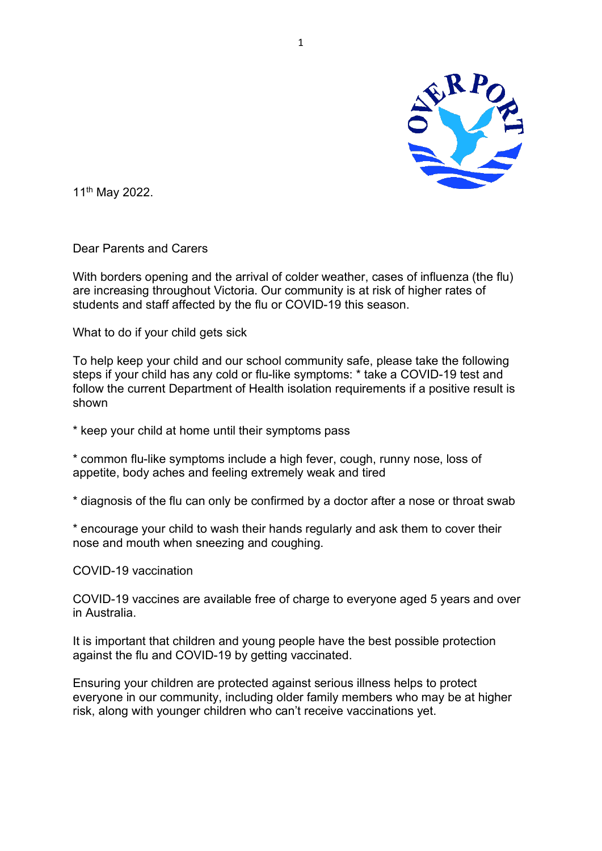

11th May 2022.

Dear Parents and Carers

With borders opening and the arrival of colder weather, cases of influenza (the flu) are increasing throughout Victoria. Our community is at risk of higher rates of students and staff affected by the flu or COVID-19 this season.

What to do if your child gets sick

To help keep your child and our school community safe, please take the following steps if your child has any cold or flu-like symptoms: \* take a COVID-19 test and follow the current Department of Health isolation requirements if a positive result is shown

\* keep your child at home until their symptoms pass

\* common flu-like symptoms include a high fever, cough, runny nose, loss of appetite, body aches and feeling extremely weak and tired

\* diagnosis of the flu can only be confirmed by a doctor after a nose or throat swab

\* encourage your child to wash their hands regularly and ask them to cover their nose and mouth when sneezing and coughing.

COVID-19 vaccination

COVID-19 vaccines are available free of charge to everyone aged 5 years and over in Australia.

It is important that children and young people have the best possible protection against the flu and COVID-19 by getting vaccinated.

Ensuring your children are protected against serious illness helps to protect everyone in our community, including older family members who may be at higher risk, along with younger children who can't receive vaccinations yet.